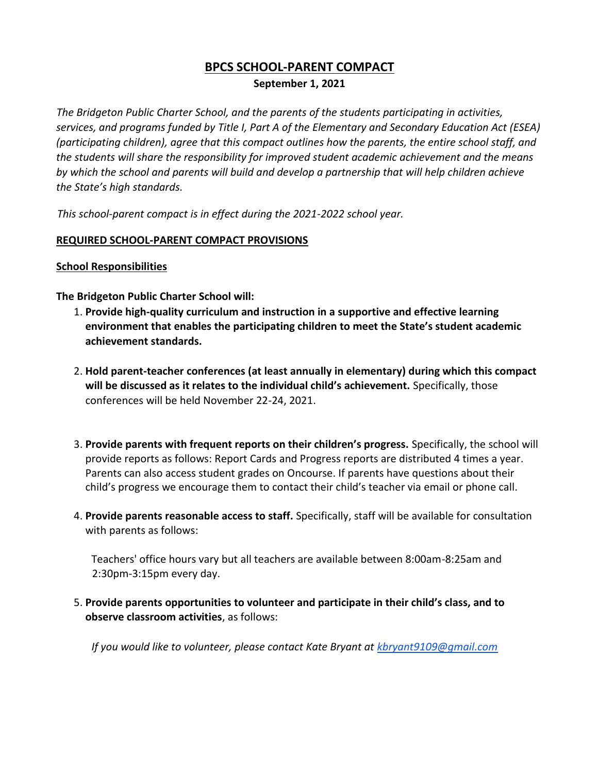# **BPCS SCHOOL-PARENT COMPACT**

### **September 1, 2021**

*The Bridgeton Public Charter School, and the parents of the students participating in activities, services, and programs funded by Title I, Part A of the Elementary and Secondary Education Act (ESEA) (participating children), agree that this compact outlines how the parents, the entire school staff, and the students will share the responsibility for improved student academic achievement and the means by which the school and parents will build and develop a partnership that will help children achieve the State's high standards.*

*This school-parent compact is in effect during the 2021-2022 school year.*

### **REQUIRED SCHOOL-PARENT COMPACT PROVISIONS**

#### **School Responsibilities**

### **The Bridgeton Public Charter School will:**

- 1. **Provide high-quality curriculum and instruction in a supportive and effective learning environment that enables the participating children to meet the State's student academic achievement standards.**
- 2. **Hold parent-teacher conferences (at least annually in elementary) during which this compact will be discussed as it relates to the individual child's achievement.** Specifically, those conferences will be held November 22-24, 2021.
- 3. **Provide parents with frequent reports on their children's progress.** Specifically, the school will provide reports as follows: Report Cards and Progress reports are distributed 4 times a year. Parents can also access student grades on Oncourse. If parents have questions about their child's progress we encourage them to contact their child's teacher via email or phone call.
- 4. **Provide parents reasonable access to staff.** Specifically, staff will be available for consultation with parents as follows:

Teachers' office hours vary but all teachers are available between 8:00am-8:25am and 2:30pm-3:15pm every day.

5. **Provide parents opportunities to volunteer and participate in their child's class, and to observe classroom activities**, as follows:

*If you would like to volunteer, please contact Kate Bryant at kbryant9109@gmail.com*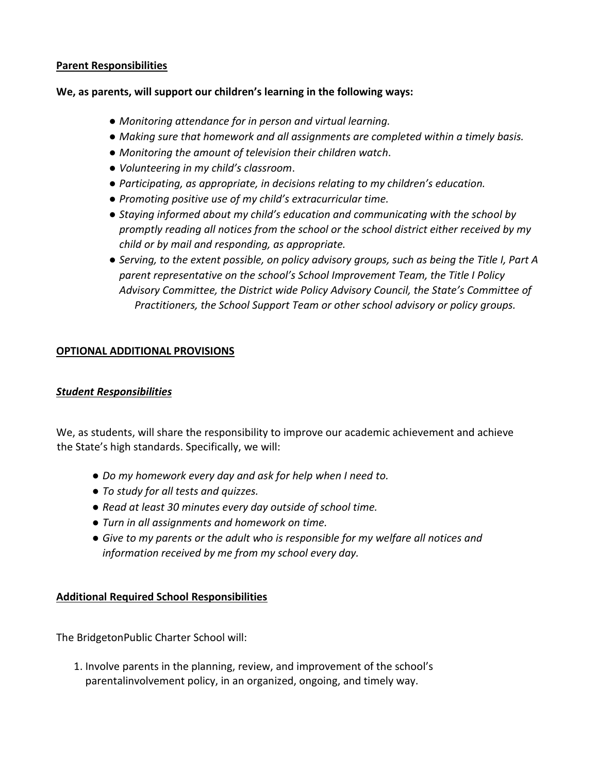#### **Parent Responsibilities**

#### **We, as parents, will support our children's learning in the following ways:**

- *Monitoring attendance for in person and virtual learning.*
- *Making sure that homework and all assignments are completed within a timely basis.*
- *Monitoring the amount of television their children watch*.
- *Volunteering in my child's classroom*.
- *Participating, as appropriate, in decisions relating to my children's education.*
- *Promoting positive use of my child's extracurricular time.*
- *Staying informed about my child's education and communicating with the school by promptly reading all notices from the school or the school district either received by my child or by mail and responding, as appropriate.*
- *Serving, to the extent possible, on policy advisory groups, such as being the Title I, Part A parent representative on the school's School Improvement Team, the Title I Policy Advisory Committee, the District wide Policy Advisory Council, the State's Committee of Practitioners, the School Support Team or other school advisory or policy groups.*

## **OPTIONAL ADDITIONAL PROVISIONS**

## *Student Responsibilities*

We, as students, will share the responsibility to improve our academic achievement and achieve the State's high standards. Specifically, we will:

- *Do my homework every day and ask for help when I need to.*
- *To study for all tests and quizzes.*
- *Read at least 30 minutes every day outside of school time.*
- *Turn in all assignments and homework on time.*
- *Give to my parents or the adult who is responsible for my welfare all notices and information received by me from my school every day.*

## **Additional Required School Responsibilities**

The BridgetonPublic Charter School will:

1. Involve parents in the planning, review, and improvement of the school's parentalinvolvement policy, in an organized, ongoing, and timely way.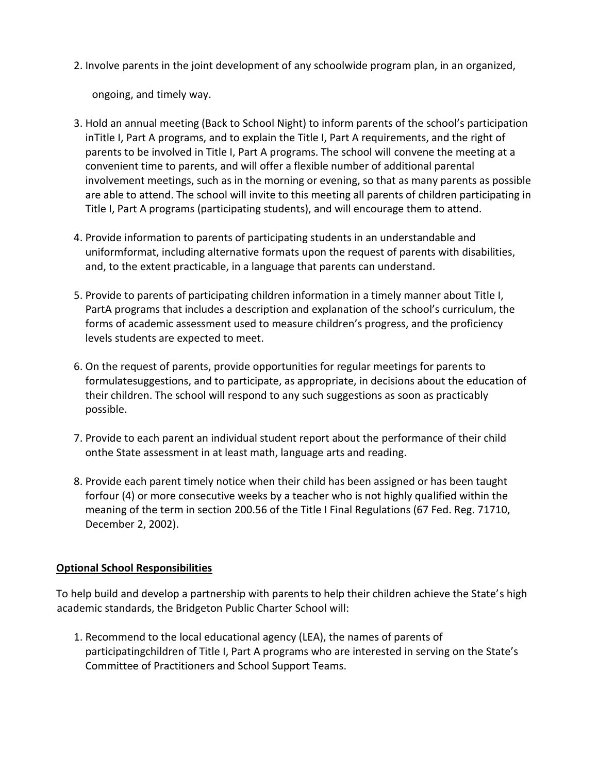2. Involve parents in the joint development of any schoolwide program plan, in an organized,

ongoing, and timely way.

- 3. Hold an annual meeting (Back to School Night) to inform parents of the school's participation inTitle I, Part A programs, and to explain the Title I, Part A requirements, and the right of parents to be involved in Title I, Part A programs. The school will convene the meeting at a convenient time to parents, and will offer a flexible number of additional parental involvement meetings, such as in the morning or evening, so that as many parents as possible are able to attend. The school will invite to this meeting all parents of children participating in Title I, Part A programs (participating students), and will encourage them to attend.
- 4. Provide information to parents of participating students in an understandable and uniformformat, including alternative formats upon the request of parents with disabilities, and, to the extent practicable, in a language that parents can understand.
- 5. Provide to parents of participating children information in a timely manner about Title I, PartA programs that includes a description and explanation of the school's curriculum, the forms of academic assessment used to measure children's progress, and the proficiency levels students are expected to meet.
- 6. On the request of parents, provide opportunities for regular meetings for parents to formulatesuggestions, and to participate, as appropriate, in decisions about the education of their children. The school will respond to any such suggestions as soon as practicably possible.
- 7. Provide to each parent an individual student report about the performance of their child onthe State assessment in at least math, language arts and reading.
- 8. Provide each parent timely notice when their child has been assigned or has been taught forfour (4) or more consecutive weeks by a teacher who is not highly qualified within the meaning of the term in section 200.56 of the Title I Final Regulations (67 Fed. Reg. 71710, December 2, 2002).

## **Optional School Responsibilities**

To help build and develop a partnership with parents to help their children achieve the State's high academic standards, the Bridgeton Public Charter School will:

1. Recommend to the local educational agency (LEA), the names of parents of participatingchildren of Title I, Part A programs who are interested in serving on the State's Committee of Practitioners and School Support Teams.